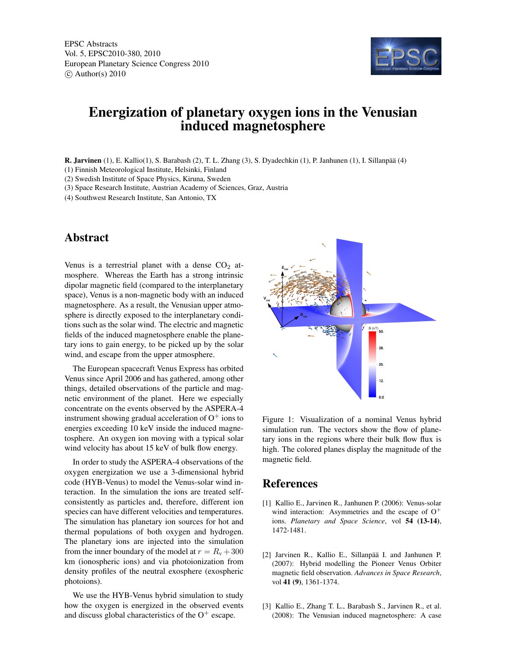EPSC Abstracts Vol. 5, EPSC2010-380, 2010 European Planetary Science Congress 2010  $\circ$  Author(s) 2010



## Energization of planetary oxygen ions in the Venusian induced magnetosphere

R. Jarvinen (1), E. Kallio(1), S. Barabash (2), T. L. Zhang (3), S. Dyadechkin (1), P. Janhunen (1), I. Sillanpää (4)

(1) Finnish Meteorological Institute, Helsinki, Finland

(2) Swedish Institute of Space Physics, Kiruna, Sweden

(3) Space Research Institute, Austrian Academy of Sciences, Graz, Austria

(4) Southwest Research Institute, San Antonio, TX

## Abstract

Venus is a terrestrial planet with a dense  $CO<sub>2</sub>$  atmosphere. Whereas the Earth has a strong intrinsic dipolar magnetic field (compared to the interplanetary space), Venus is a non-magnetic body with an induced magnetosphere. As a result, the Venusian upper atmosphere is directly exposed to the interplanetary conditions such as the solar wind. The electric and magnetic fields of the induced magnetosphere enable the planetary ions to gain energy, to be picked up by the solar wind, and escape from the upper atmosphere.

The European spacecraft Venus Express has orbited Venus since April 2006 and has gathered, among other things, detailed observations of the particle and magnetic environment of the planet. Here we especially concentrate on the events observed by the ASPERA-4 instrument showing gradual acceleration of  $O^+$  ions to energies exceeding 10 keV inside the induced magnetosphere. An oxygen ion moving with a typical solar wind velocity has about 15 keV of bulk flow energy.

In order to study the ASPERA-4 observations of the oxygen energization we use a 3-dimensional hybrid code (HYB-Venus) to model the Venus-solar wind interaction. In the simulation the ions are treated selfconsistently as particles and, therefore, different ion species can have different velocities and temperatures. The simulation has planetary ion sources for hot and thermal populations of both oxygen and hydrogen. The planetary ions are injected into the simulation from the inner boundary of the model at  $r = R<sub>v</sub> + 300$ km (ionospheric ions) and via photoionization from density profiles of the neutral exosphere (exospheric photoions).

We use the HYB-Venus hybrid simulation to study how the oxygen is energized in the observed events and discuss global characteristics of the  $O^+$  escape.



Figure 1: Visualization of a nominal Venus hybrid simulation run. The vectors show the flow of planetary ions in the regions where their bulk flow flux is high. The colored planes display the magnitude of the magnetic field.

## References

- [1] Kallio E., Jarvinen R., Janhunen P. (2006): Venus-solar wind interaction: Asymmetries and the escape of  $O^+$ ions. *Planetary and Space Science*, vol 54 (13-14), 1472-1481.
- [2] Jarvinen R., Kallio E., Sillanpää I. and Janhunen P. (2007): Hybrid modelling the Pioneer Venus Orbiter magnetic field observation. *Advances in Space Research*, vol 41 (9), 1361-1374.
- [3] Kallio E., Zhang T. L., Barabash S., Jarvinen R., et al. (2008): The Venusian induced magnetosphere: A case